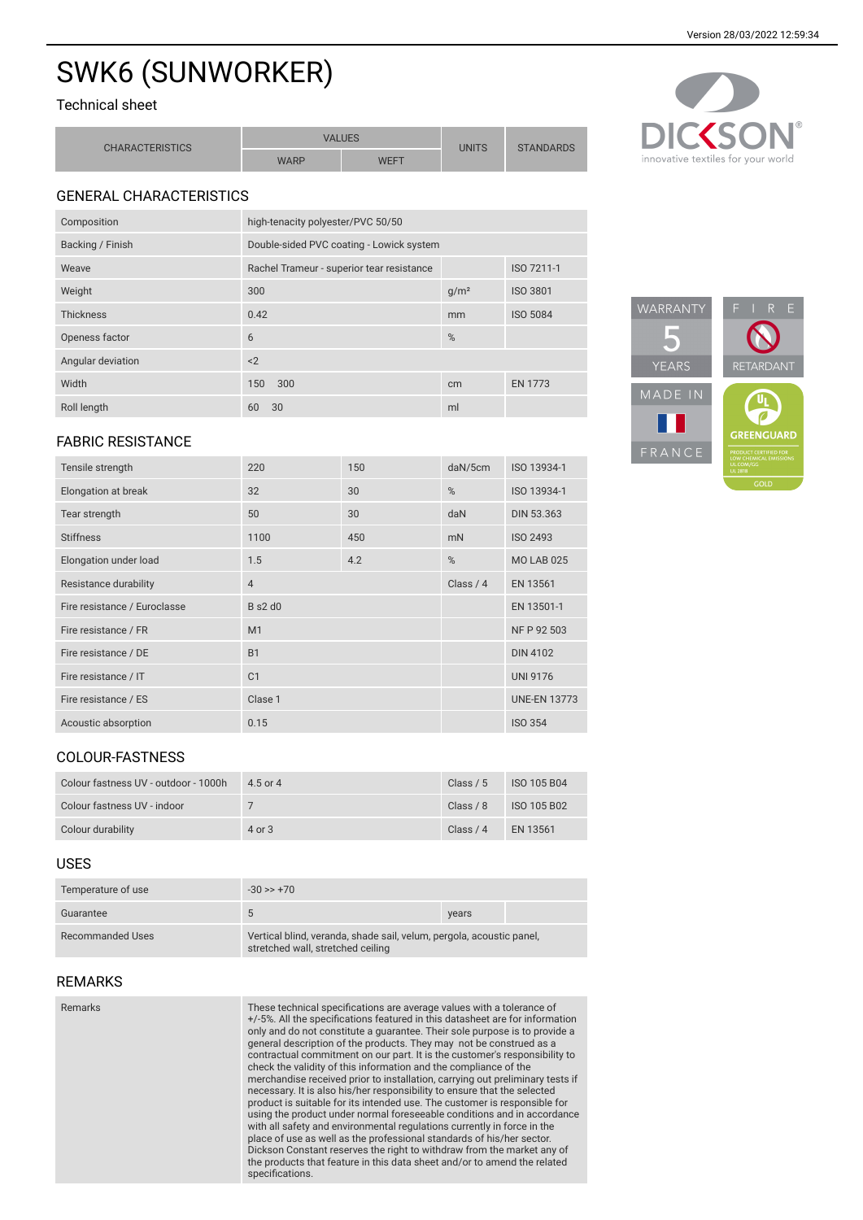# SWK6 (SUNWORKER)

# Technical sheet

| <b>CHARACTERISTICS</b> | <b>VALUES</b> |      | UNITS | <b>STANDARDS</b> |
|------------------------|---------------|------|-------|------------------|
|                        | <b>WARP</b>   | WEFT |       |                  |



# GENERAL CHARACTERISTICS

| Composition       | high-tenacity polyester/PVC 50/50         |                  |                 |
|-------------------|-------------------------------------------|------------------|-----------------|
| Backing / Finish  | Double-sided PVC coating - Lowick system  |                  |                 |
| Weave             | Rachel Trameur - superior tear resistance |                  | ISO 7211-1      |
| Weight            | 300                                       | g/m <sup>2</sup> | <b>ISO 3801</b> |
| <b>Thickness</b>  | 0.42                                      | mm               | <b>ISO 5084</b> |
| Openess factor    | 6                                         | %                |                 |
| Angular deviation | < 2                                       |                  |                 |
| Width             | 300<br>150                                | cm               | <b>EN 1773</b>  |
| Roll length       | 30<br>60                                  | ml               |                 |

### FABRIC RESISTANCE

| Tensile strength             | 220            | 150 | daN/5cm    | ISO 13934-1         |
|------------------------------|----------------|-----|------------|---------------------|
| Elongation at break          | 32             | 30  | %          | ISO 13934-1         |
| Tear strength                | 50             | 30  | daN        | DIN 53.363          |
| <b>Stiffness</b>             | 1100           | 450 | mN         | ISO 2493            |
| Elongation under load        | 1.5            | 4.2 | %          | <b>MO LAB 025</b>   |
| Resistance durability        | $\overline{4}$ |     | Class $/4$ | EN 13561            |
| Fire resistance / Euroclasse | $B$ s2 d0      |     |            | EN 13501-1          |
| Fire resistance / FR         | M1             |     |            | NF P 92 503         |
| Fire resistance / DE         | <b>B1</b>      |     |            | <b>DIN 4102</b>     |
| Fire resistance / IT         | C <sub>1</sub> |     |            | <b>UNI 9176</b>     |
| Fire resistance / ES         | Clase 1        |     |            | <b>UNE-EN 13773</b> |
| Acoustic absorption          | 0.15           |     |            | <b>ISO 354</b>      |

#### COLOUR-FASTNESS

| Colour fastness UV - outdoor - 1000h | 4.5 or 4   | Class $/ 5$ | ISO 105 B04 |
|--------------------------------------|------------|-------------|-------------|
| Colour fastness UV - indoor          |            | Class $/ 8$ | ISO 105 B02 |
| Colour durability                    | $4$ or $3$ | Class $/4$  | EN 13561    |

#### USES

| Temperature of use | $-30 \gg +70$                                                                                             |       |
|--------------------|-----------------------------------------------------------------------------------------------------------|-------|
| Guarantee          | 5                                                                                                         | years |
| Recommanded Uses   | Vertical blind, veranda, shade sail, velum, pergola, acoustic panel,<br>stretched wall, stretched ceiling |       |

#### REMARKS

| Remarks | These technical specifications are average values with a tolerance of<br>+/-5%. All the specifications featured in this datasheet are for information<br>only and do not constitute a quarantee. Their sole purpose is to provide a<br>general description of the products. They may not be construed as a<br>contractual commitment on our part. It is the customer's responsibility to<br>check the validity of this information and the compliance of the<br>merchandise received prior to installation, carrying out preliminary tests if<br>necessary. It is also his/her responsibility to ensure that the selected<br>product is suitable for its intended use. The customer is responsible for<br>using the product under normal foreseeable conditions and in accordance<br>with all safety and environmental regulations currently in force in the<br>place of use as well as the professional standards of his/her sector.<br>Dickson Constant reserves the right to withdraw from the market any of<br>the products that feature in this data sheet and/or to amend the related<br>specifications. |
|---------|----------------------------------------------------------------------------------------------------------------------------------------------------------------------------------------------------------------------------------------------------------------------------------------------------------------------------------------------------------------------------------------------------------------------------------------------------------------------------------------------------------------------------------------------------------------------------------------------------------------------------------------------------------------------------------------------------------------------------------------------------------------------------------------------------------------------------------------------------------------------------------------------------------------------------------------------------------------------------------------------------------------------------------------------------------------------------------------------------------------|
|         |                                                                                                                                                                                                                                                                                                                                                                                                                                                                                                                                                                                                                                                                                                                                                                                                                                                                                                                                                                                                                                                                                                                |